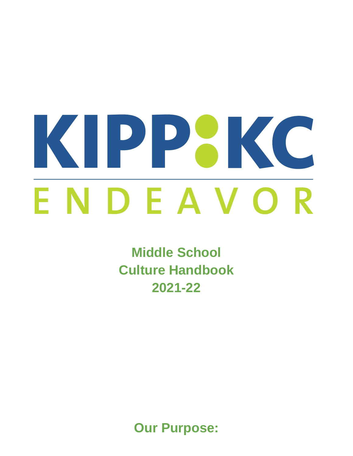# KIPPBKC DEAVO R E N

**Middle School Culture Handbook 2021-22**

**Our Purpose:**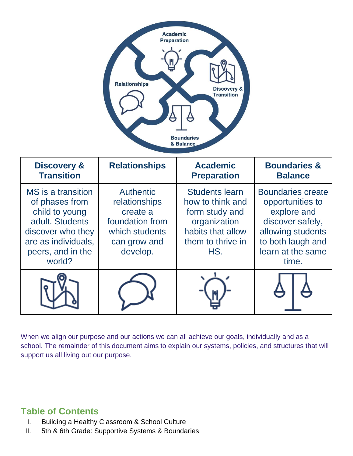

| <b>Discovery &amp;</b><br><b>Transition</b>                                                                                                          | <b>Relationships</b>                                                                                           | <b>Academic</b><br><b>Preparation</b>                                                                                        | <b>Boundaries &amp;</b><br><b>Balance</b>                                                                                                               |
|------------------------------------------------------------------------------------------------------------------------------------------------------|----------------------------------------------------------------------------------------------------------------|------------------------------------------------------------------------------------------------------------------------------|---------------------------------------------------------------------------------------------------------------------------------------------------------|
| MS is a transition<br>of phases from<br>child to young<br>adult. Students<br>discover who they<br>are as individuals,<br>peers, and in the<br>world? | <b>Authentic</b><br>relationships<br>create a<br>foundation from<br>which students<br>can grow and<br>develop. | <b>Students learn</b><br>how to think and<br>form study and<br>organization<br>habits that allow<br>them to thrive in<br>HS. | <b>Boundaries create</b><br>opportunities to<br>explore and<br>discover safely,<br>allowing students<br>to both laugh and<br>learn at the same<br>time. |
|                                                                                                                                                      |                                                                                                                |                                                                                                                              |                                                                                                                                                         |

When we align our purpose and our actions we can all achieve our goals, individually and as a school. The remainder of this document aims to explain our systems, policies, and structures that will support us all living out our purpose.

## **Table of Contents**

- I. Building a Healthy Classroom & School Culture
- II. 5th & 6th Grade: Supportive Systems & Boundaries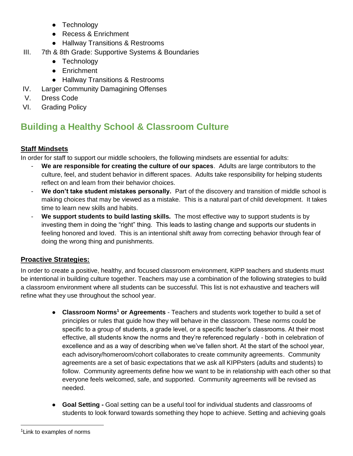- Technology
- Recess & Enrichment
- Hallway Transitions & Restrooms
- III. 7th & 8th Grade: Supportive Systems & Boundaries
	- Technology
	- Enrichment
	- Hallway Transitions & Restrooms
- IV. Larger Community Damagining Offenses
- V. Dress Code
- VI. Grading Policy

# **Building a Healthy School & Classroom Culture**

#### **Staff Mindsets**

In order for staff to support our middle schoolers, the following mindsets are essential for adults:

- **We are responsible for creating the culture of our spaces**. Adults are large contributors to the culture, feel, and student behavior in different spaces. Adults take responsibility for helping students reflect on and learn from their behavior choices.
- **We don't take student mistakes personally.** Part of the discovery and transition of middle school is making choices that may be viewed as a mistake. This is a natural part of child development. It takes time to learn new skills and habits.
- **We support students to build lasting skills.** The most effective way to support students is by investing them in doing the "right" thing. This leads to lasting change and supports our students in feeling honored and loved. This is an intentional shift away from correcting behavior through fear of doing the wrong thing and punishments.

#### **Proactive Strategies:**

In order to create a positive, healthy, and focused classroom environment, KIPP teachers and students must be intentional in building culture together. Teachers may use a combination of the following strategies to build a classroom environment where all students can be successful. This list is not exhaustive and teachers will refine what they use throughout the school year.

- **Classroom Norms<sup>1</sup> or Agreements** Teachers and students work together to build a set of principles or rules that guide how they will behave in the classroom. These norms could be specific to a group of students, a grade level, or a specific teacher's classrooms. At their most effective, all students know the norms and they're referenced regularly - both in celebration of excellence and as a way of describing when we've fallen short. At the start of the school year, each advisory/homeroom/cohort collaborates to create community agreements. Community agreements are a set of basic expectations that we ask all KIPPsters (adults and students) to follow. Community agreements define how we want to be in relationship with each other so that everyone feels welcomed, safe, and supported. Community agreements will be revised as needed.
- **Goal Setting -** Goal setting can be a useful tool for individual students and classrooms of students to look forward towards something they hope to achieve. Setting and achieving goals

<sup>&</sup>lt;sup>1</sup> Link to examples of norms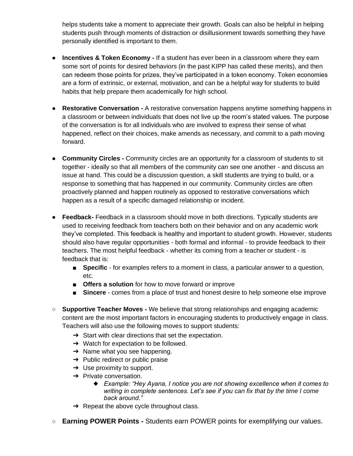helps students take a moment to appreciate their growth. Goals can also be helpful in helping students push through moments of distraction or disillusionment towards something they have personally identified is important to them.

- **Incentives & Token Economy If a student has ever been in a classroom where they earn** some sort of points for desired behaviors (in the past KIPP has called these merits), and then can redeem those points for prizes, they've participated in a token economy. Token economies are a form of extrinsic, or external, motivation, and can be a helpful way for students to build habits that help prepare them academically for high school.
- **Restorative Conversation -** A restorative conversation happens anytime something happens in a classroom or between individuals that does not live up the room's stated values. The purpose of the conversation is for all individuals who are involved to express their sense of what happened, reflect on their choices, make amends as necessary, and commit to a path moving forward.
- **Community Circles -** Community circles are an opportunity for a classroom of students to sit together - ideally so that all members of the community can see one another - and discuss an issue at hand. This could be a discussion question, a skill students are trying to build, or a response to something that has happened in our community. Community circles are often proactively planned and happen routinely as opposed to restorative conversations which happen as a result of a specific damaged relationship or incident.
- **Feedback-** Feedback in a classroom should move in both directions. Typically students are used to receiving feedback from teachers both on their behavior and on any academic work they've completed. This feedback is healthy and important to student growth. However, students should also have regular opportunities - both formal and informal - to provide feedback to their teachers. The most helpful feedback - whether its coming from a teacher or student - is feedback that is:
	- **Specific** for examples refers to a moment in class, a particular answer to a question, etc.
	- **Offers a solution** for how to move forward or improve
	- **Sincere** comes from a place of trust and honest desire to help someone else improve
- **Supportive Teacher Moves -** We believe that strong relationships and engaging academic content are the most important factors in encouraging students to productively engage in class. Teachers will also use the following moves to support students:
	- ➔ Start with clear directions that set the expectation.
	- $\rightarrow$  Watch for expectation to be followed.
	- $\rightarrow$  Name what you see happening.
	- $\rightarrow$  Public redirect or public praise
	- $\rightarrow$  Use proximity to support.
	- $\rightarrow$  Private conversation.
		- ◆ *Example: "Hey Ayana, I notice you are not showing excellence when it comes to writing in complete sentences. Let's see if you can fix that by the time I come back around."*
	- → Repeat the above cycle throughout class.
- **Earning POWER Points -** Students earn POWER points for exemplifying our values.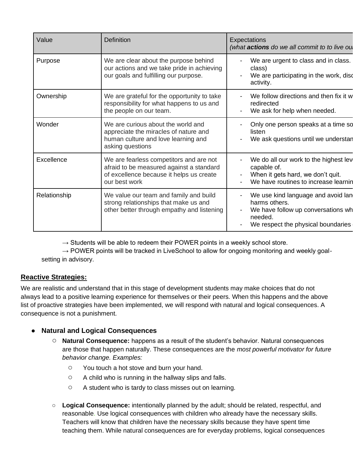| Value        | <b>Definition</b>                                                                                                                                | Expectations<br>(what actions do we all commit to to live ou                                                                               |
|--------------|--------------------------------------------------------------------------------------------------------------------------------------------------|--------------------------------------------------------------------------------------------------------------------------------------------|
| Purpose      | We are clear about the purpose behind<br>our actions and we take pride in achieving<br>our goals and fulfilling our purpose.                     | We are urgent to class and in class.<br>class)<br>We are participating in the work, disc<br>activity.                                      |
| Ownership    | We are grateful for the opportunity to take<br>responsibility for what happens to us and<br>the people on our team.                              | We follow directions and then fix it w<br>redirected<br>We ask for help when needed.                                                       |
| Wonder       | We are curious about the world and<br>appreciate the miracles of nature and<br>human culture and love learning and<br>asking questions           | Only one person speaks at a time so<br>listen<br>We ask questions until we understan                                                       |
| Excellence   | We are fearless competitors and are not<br>afraid to be measured against a standard<br>of excellence because it helps us create<br>our best work | We do all our work to the highest lev<br>capable of.<br>When it gets hard, we don't quit.<br>We have routines to increase learnin          |
| Relationship | We value our team and family and build<br>strong relationships that make us and<br>other better through empathy and listening                    | We use kind language and avoid lan<br>harms others.<br>We have follow up conversations wh<br>needed.<br>We respect the physical boundaries |

 $\rightarrow$  Students will be able to redeem their POWER points in a weekly school store.

 $\rightarrow$  POWER points will be tracked in LiveSchool to allow for ongoing monitoring and weekly goalsetting in advisory.

#### **Reactive Strategies:**

We are realistic and understand that in this stage of development students may make choices that do not always lead to a positive learning experience for themselves or their peers. When this happens and the above list of proactive strategies have been implemented, we will respond with natural and logical consequences. A consequence is not a punishment.

#### **Natural and Logical Consequences**

- **Natural Consequence:** happens as a result of the student's behavior. Natural consequences are those that happen naturally. These consequences are the *most powerful motivator for future behavior change. Examples:*
	- You touch a hot stove and burn your hand.
	- A child who is running in the hallway slips and falls.
	- A student who is tardy to class misses out on learning.
- **Logical Consequence:** intentionally planned by the adult; should be related, respectful, and reasonable. Use logical consequences with children who already have the necessary skills. Teachers will know that children have the necessary skills because they have spent time teaching them. While natural consequences are for everyday problems, logical consequences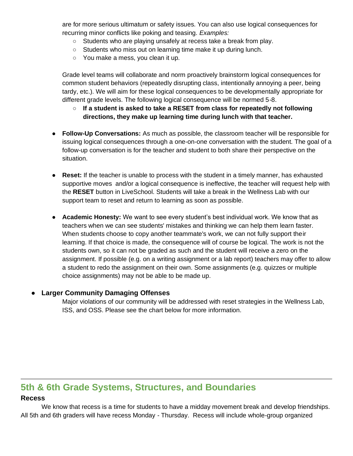are for more serious ultimatum or safety issues. You can also use logical consequences for recurring minor conflicts like poking and teasing. *Examples:*

- Students who are playing unsafely at recess take a break from play.
- Students who miss out on learning time make it up during lunch.
- You make a mess, you clean it up.

Grade level teams will collaborate and norm proactively brainstorm logical consequences for common student behaviors (repeatedly disrupting class, intentionally annoying a peer, being tardy, etc.). We will aim for these logical consequences to be developmentally appropriate for different grade levels. The following logical consequence will be normed 5-8.

- **If a student is asked to take a RESET from class for repeatedly not following directions, they make up learning time during lunch with that teacher.**
- **Follow-Up Conversations:** As much as possible, the classroom teacher will be responsible for issuing logical consequences through a one-on-one conversation with the student. The goal of a follow-up conversation is for the teacher and student to both share their perspective on the situation.
- **Reset:** If the teacher is unable to process with the student in a timely manner, has exhausted supportive moves and/or a logical consequence is ineffective, the teacher will request help with the **RESET** button in LiveSchool. Students will take a break in the Wellness Lab with our support team to reset and return to learning as soon as possible.
- **Academic Honesty:** We want to see every student's best individual work. We know that as teachers when we can see students' mistakes and thinking we can help them learn faster. When students choose to copy another teammate's work, we can not fully support their learning. If that choice is made, the consequence will of course be logical. The work is not the students own, so it can not be graded as such and the student will receive a zero on the assignment. If possible (e.g. on a writing assignment or a lab report) teachers may offer to allow a student to redo the assignment on their own. Some assignments (e.g. quizzes or multiple choice assignments) may not be able to be made up.

#### **Larger Community Damaging Offenses**

Major violations of our community will be addressed with reset strategies in the Wellness Lab, ISS, and OSS. Please see the chart below for more information.

### **5th & 6th Grade Systems, Structures, and Boundaries**

#### **Recess**

We know that recess is a time for students to have a midday movement break and develop friendships. All 5th and 6th graders will have recess Monday - Thursday. Recess will include whole-group organized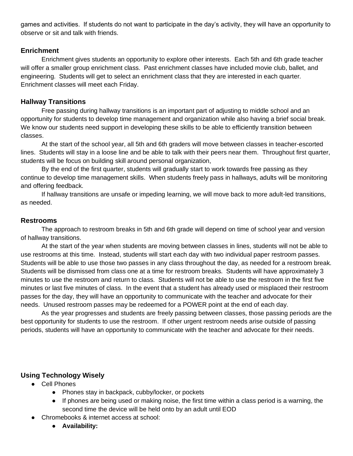games and activities. If students do not want to participate in the day's activity, they will have an opportunity to observe or sit and talk with friends.

#### **Enrichment**

Enrichment gives students an opportunity to explore other interests. Each 5th and 6th grade teacher will offer a smaller group enrichment class. Past enrichment classes have included movie club, ballet, and engineering. Students will get to select an enrichment class that they are interested in each quarter. Enrichment classes will meet each Friday.

#### **Hallway Transitions**

Free passing during hallway transitions is an important part of adjusting to middle school and an opportunity for students to develop time management and organization while also having a brief social break. We know our students need support in developing these skills to be able to efficiently transition between classes.

At the start of the school year, all 5th and 6th graders will move between classes in teacher-escorted lines. Students will stay in a loose line and be able to talk with their peers near them. Throughout first quarter, students will be focus on building skill around personal organization,

By the end of the first quarter, students will gradually start to work towards free passing as they continue to develop time management skills. When students freely pass in hallways, adults will be monitoring and offering feedback.

If hallway transitions are unsafe or impeding learning, we will move back to more adult-led transitions, as needed.

#### **Restrooms**

The approach to restroom breaks in 5th and 6th grade will depend on time of school year and version of hallway transitions.

At the start of the year when students are moving between classes in lines, students will not be able to use restrooms at this time. Instead, students will start each day with two individual paper restroom passes. Students will be able to use those two passes in any class throughout the day, as needed for a restroom break. Students will be dismissed from class one at a time for restroom breaks. Students will have approximately 3 minutes to use the restroom and return to class. Students will not be able to use the restroom in the first five minutes or last five minutes of class. In the event that a student has already used or misplaced their restroom passes for the day, they will have an opportunity to communicate with the teacher and advocate for their needs. Unused restroom passes may be redeemed for a POWER point at the end of each day.

As the year progresses and students are freely passing between classes, those passing periods are the best opportunity for students to use the restroom. If other urgent restroom needs arise outside of passing periods, students will have an opportunity to communicate with the teacher and advocate for their needs.

#### **Using Technology Wisely**

- Cell Phones
	- Phones stay in backpack, cubby/locker, or pockets
	- If phones are being used or making noise, the first time within a class period is a warning, the second time the device will be held onto by an adult until EOD
- Chromebooks & internet access at school:
	- **Availability:**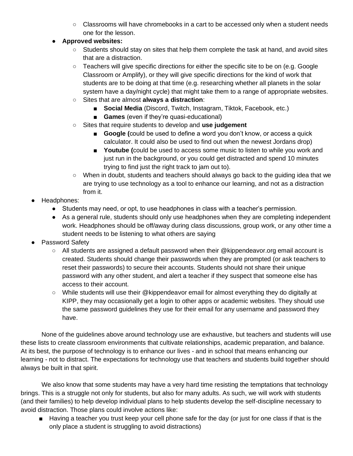- $\circ$  Classrooms will have chromebooks in a cart to be accessed only when a student needs one for the lesson.
- **Approved websites:**
	- Students should stay on sites that help them complete the task at hand, and avoid sites that are a distraction.
	- Teachers will give specific directions for either the specific site to be on (e.g. Google Classroom or Amplify), or they will give specific directions for the kind of work that students are to be doing at that time (e.g. researching whether all planets in the solar system have a day/night cycle) that might take them to a range of appropriate websites.
	- Sites that are almost **always a distraction**:
		- **Social Media** (Discord, Twitch, Instagram, Tiktok, Facebook, etc.)
		- **Games** (even if they're quasi-educational)
	- Sites that require students to develop and **use judgement**
		- **Google (could be used to define a word you don't know, or access a quick** calculator. It could also be used to find out when the newest Jordans drop)
		- **Youtube (**could be used to access some music to listen to while you work and just run in the background, or you could get distracted and spend 10 minutes trying to find just the right track to jam out to).
	- When in doubt, students and teachers should always go back to the quiding idea that we are trying to use technology as a tool to enhance our learning, and not as a distraction from it.
- Headphones:
	- Students may need, or opt, to use headphones in class with a teacher's permission.
	- As a general rule, students should only use headphones when they are completing independent work. Headphones should be off/away during class discussions, group work, or any other time a student needs to be listening to what others are saying
- Password Safety
	- All students are assigned a default password when their @kippendeavor.org email account is created. Students should change their passwords when they are prompted (or ask teachers to reset their passwords) to secure their accounts. Students should not share their unique password with any other student, and alert a teacher if they suspect that someone else has access to their account.
	- While students will use their @kippendeavor email for almost everything they do digitally at KIPP, they may occasionally get a login to other apps or academic websites. They should use the same password guidelines they use for their email for any username and password they have.

None of the guidelines above around technology use are exhaustive, but teachers and students will use these lists to create classroom environments that cultivate relationships, academic preparation, and balance. At its best, the purpose of technology is to enhance our lives - and in school that means enhancing our learning - not to distract. The expectations for technology use that teachers and students build together should always be built in that spirit.

We also know that some students may have a very hard time resisting the temptations that technology brings. This is a struggle not only for students, but also for many adults. As such, we will work with students (and their families) to help develop individual plans to help students develop the self-discipline necessary to avoid distraction. Those plans could involve actions like:

■ Having a teacher you trust keep your cell phone safe for the day (or just for one class if that is the only place a student is struggling to avoid distractions)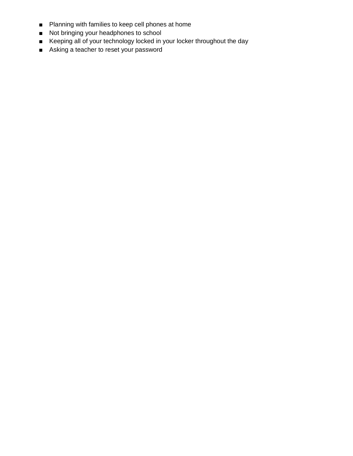- Planning with families to keep cell phones at home
- Not bringing your headphones to school
- Keeping all of your technology locked in your locker throughout the day
- Asking a teacher to reset your password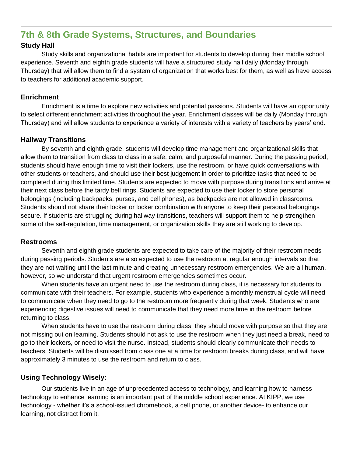## **7th & 8th Grade Systems, Structures, and Boundaries**

#### **Study Hall**

Study skills and organizational habits are important for students to develop during their middle school experience. Seventh and eighth grade students will have a structured study hall daily (Monday through Thursday) that will allow them to find a system of organization that works best for them, as well as have access to teachers for additional academic support.

#### **Enrichment**

Enrichment is a time to explore new activities and potential passions. Students will have an opportunity to select different enrichment activities throughout the year. Enrichment classes will be daily (Monday through Thursday) and will allow students to experience a variety of interests with a variety of teachers by years' end.

#### **Hallway Transitions**

By seventh and eighth grade, students will develop time management and organizational skills that allow them to transition from class to class in a safe, calm, and purposeful manner. During the passing period, students should have enough time to visit their lockers, use the restroom, or have quick conversations with other students or teachers, and should use their best judgement in order to prioritize tasks that need to be completed during this limited time. Students are expected to move with purpose during transitions and arrive at their next class before the tardy bell rings. Students are expected to use their locker to store personal belongings (including backpacks, purses, and cell phones), as backpacks are not allowed in classrooms. Students should not share their locker or locker combination with anyone to keep their personal belongings secure. If students are struggling during hallway transitions, teachers will support them to help strengthen some of the self-regulation, time management, or organization skills they are still working to develop.

#### **Restrooms**

Seventh and eighth grade students are expected to take care of the majority of their restroom needs during passing periods. Students are also expected to use the restroom at regular enough intervals so that they are not waiting until the last minute and creating unnecessary restroom emergencies. We are all human, however, so we understand that urgent restroom emergencies sometimes occur.

When students have an urgent need to use the restroom during class, it is necessary for students to communicate with their teachers. For example, students who experience a monthly menstrual cycle will need to communicate when they need to go to the restroom more frequently during that week. Students who are experiencing digestive issues will need to communicate that they need more time in the restroom before returning to class.

When students have to use the restroom during class, they should move with purpose so that they are not missing out on learning. Students should not ask to use the restroom when they just need a break, need to go to their lockers, or need to visit the nurse. Instead, students should clearly communicate their needs to teachers. Students will be dismissed from class one at a time for restroom breaks during class, and will have approximately 3 minutes to use the restroom and return to class.

#### **Using Technology Wisely:**

Our students live in an age of unprecedented access to technology, and learning how to harness technology to enhance learning is an important part of the middle school experience. At KIPP, we use technology - whether it's a school-issued chromebook, a cell phone, or another device- to enhance our learning, not distract from it.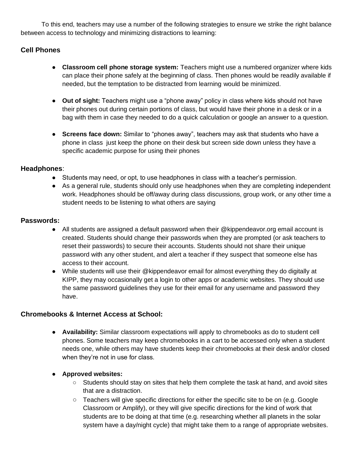To this end, teachers may use a number of the following strategies to ensure we strike the right balance between access to technology and minimizing distractions to learning:

#### **Cell Phones**

- **Classroom cell phone storage system:** Teachers might use a numbered organizer where kids can place their phone safely at the beginning of class. Then phones would be readily available if needed, but the temptation to be distracted from learning would be minimized.
- **Out of sight:** Teachers might use a "phone away" policy in class where kids should not have their phones out during certain portions of class, but would have their phone in a desk or in a bag with them in case they needed to do a quick calculation or google an answer to a question.
- **Screens face down:** Similar to "phones away", teachers may ask that students who have a phone in class just keep the phone on their desk but screen side down unless they have a specific academic purpose for using their phones

#### **Headphones**:

- Students may need, or opt, to use headphones in class with a teacher's permission.
- As a general rule, students should only use headphones when they are completing independent work. Headphones should be off/away during class discussions, group work, or any other time a student needs to be listening to what others are saying

#### **Passwords:**

- All students are assigned a default password when their @kippendeavor.org email account is created. Students should change their passwords when they are prompted (or ask teachers to reset their passwords) to secure their accounts. Students should not share their unique password with any other student, and alert a teacher if they suspect that someone else has access to their account.
- While students will use their @kippendeavor email for almost everything they do digitally at KIPP, they may occasionally get a login to other apps or academic websites. They should use the same password guidelines they use for their email for any username and password they have.

#### **Chromebooks & Internet Access at School:**

- **Availability:** Similar classroom expectations will apply to chromebooks as do to student cell phones. Some teachers may keep chromebooks in a cart to be accessed only when a student needs one, while others may have students keep their chromebooks at their desk and/or closed when they're not in use for class.
- **Approved websites:** 
	- Students should stay on sites that help them complete the task at hand, and avoid sites that are a distraction.
	- Teachers will give specific directions for either the specific site to be on (e.g. Google Classroom or Amplify), or they will give specific directions for the kind of work that students are to be doing at that time (e.g. researching whether all planets in the solar system have a day/night cycle) that might take them to a range of appropriate websites.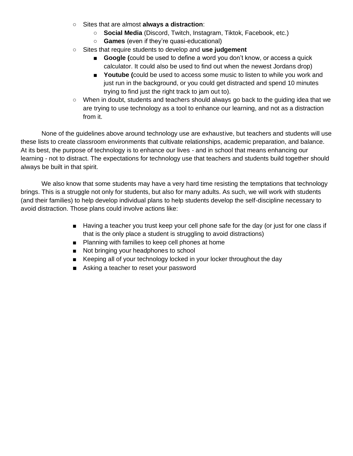- Sites that are almost **always a distraction**:
	- **Social Media** (Discord, Twitch, Instagram, Tiktok, Facebook, etc.)
	- **Games** (even if they're quasi-educational)
- Sites that require students to develop and **use judgement**
	- **Google (could be used to define a word you don't know, or access a quick** calculator. It could also be used to find out when the newest Jordans drop)
	- **Youtube (**could be used to access some music to listen to while you work and just run in the background, or you could get distracted and spend 10 minutes trying to find just the right track to jam out to).
- When in doubt, students and teachers should always go back to the guiding idea that we are trying to use technology as a tool to enhance our learning, and not as a distraction from it.

None of the guidelines above around technology use are exhaustive, but teachers and students will use these lists to create classroom environments that cultivate relationships, academic preparation, and balance. At its best, the purpose of technology is to enhance our lives - and in school that means enhancing our learning - not to distract. The expectations for technology use that teachers and students build together should always be built in that spirit.

We also know that some students may have a very hard time resisting the temptations that technology brings. This is a struggle not only for students, but also for many adults. As such, we will work with students (and their families) to help develop individual plans to help students develop the self-discipline necessary to avoid distraction. Those plans could involve actions like:

- Having a teacher you trust keep your cell phone safe for the day (or just for one class if that is the only place a student is struggling to avoid distractions)
- Planning with families to keep cell phones at home
- Not bringing your headphones to school
- Keeping all of your technology locked in your locker throughout the day
- Asking a teacher to reset your password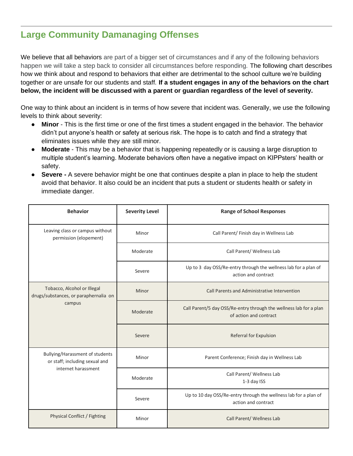# **Large Community Damanaging Offenses**

We believe that all behaviors are part of a bigger set of circumstances and if any of the following behaviors happen we will take a step back to consider all circumstances before responding. The following chart describes how we think about and respond to behaviors that either are detrimental to the school culture we're building together or are unsafe for our students and staff. **If a student engages in any of the behaviors on the chart below, the incident will be discussed with a parent or guardian regardless of the level of severity.**

One way to think about an incident is in terms of how severe that incident was. Generally, we use the following levels to think about severity:

- **Minor** This is the first time or one of the first times a student engaged in the behavior. The behavior didn't put anyone's health or safety at serious risk. The hope is to catch and find a strategy that eliminates issues while they are still minor.
- **Moderate** This may be a behavior that is happening repeatedly or is causing a large disruption to multiple student's learning. Moderate behaviors often have a negative impact on KIPPsters' health or safety.
- **Severe -** A severe behavior might be one that continues despite a plan in place to help the student avoid that behavior. It also could be an incident that puts a student or students health or safety in immediate danger.

| <b>Behavior</b>                                                                          | <b>Severity Level</b> | <b>Range of School Responses</b>                                                             |  |
|------------------------------------------------------------------------------------------|-----------------------|----------------------------------------------------------------------------------------------|--|
| Leaving class or campus without<br>permission (elopement)                                | Minor                 | Call Parent/ Finish day in Wellness Lab                                                      |  |
|                                                                                          | Moderate              | Call Parent/ Wellness Lab                                                                    |  |
|                                                                                          | Severe                | Up to 3 day OSS/Re-entry through the wellness lab for a plan of<br>action and contract       |  |
| Tobacco, Alcohol or Illegal<br>drugs/substances, or paraphernalia on<br>campus           | Minor                 | Call Parents and Administrative Intervention                                                 |  |
|                                                                                          | Moderate              | Call Parent/5 day OSS/Re-entry through the wellness lab for a plan<br>of action and contract |  |
|                                                                                          | Severe                | Referral for Expulsion                                                                       |  |
| Bullying/Harassment of students<br>or staff; including sexual and<br>internet harassment | Minor                 | Parent Conference; Finish day in Wellness Lab                                                |  |
|                                                                                          | Moderate              | Call Parent/ Wellness Lab<br>1-3 day ISS                                                     |  |
|                                                                                          | Severe                | Up to 10 day OSS/Re-entry through the wellness lab for a plan of<br>action and contract      |  |
| <b>Physical Conflict / Fighting</b>                                                      | Minor                 | Call Parent/ Wellness Lab                                                                    |  |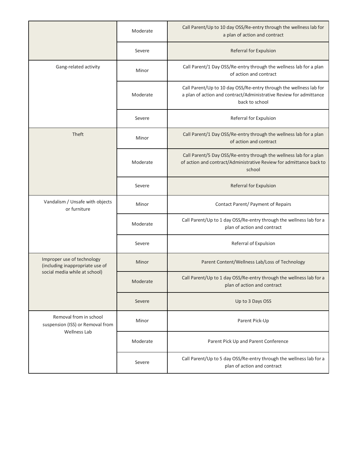|                                                                                   | Moderate | Call Parent/Up to 10 day OSS/Re-entry through the wellness lab for<br>a plan of action and contract                                                        |
|-----------------------------------------------------------------------------------|----------|------------------------------------------------------------------------------------------------------------------------------------------------------------|
|                                                                                   | Severe   | Referral for Expulsion                                                                                                                                     |
| Gang-related activity                                                             | Minor    | Call Parent/1 Day OSS/Re-entry through the wellness lab for a plan<br>of action and contract                                                               |
|                                                                                   | Moderate | Call Parent/Up to 10 day OSS/Re-entry through the wellness lab for<br>a plan of action and contract/Administrative Review for admittance<br>back to school |
|                                                                                   | Severe   | Referral for Expulsion                                                                                                                                     |
| Theft                                                                             | Minor    | Call Parent/1 Day OSS/Re-entry through the wellness lab for a plan<br>of action and contract                                                               |
|                                                                                   | Moderate | Call Parent/5 Day OSS/Re-entry through the wellness lab for a plan<br>of action and contract/Administrative Review for admittance back to<br>school        |
|                                                                                   | Severe   | Referral for Expulsion                                                                                                                                     |
| Vandalism / Unsafe with objects<br>or furniture                                   | Minor    | Contact Parent/ Payment of Repairs                                                                                                                         |
|                                                                                   | Moderate | Call Parent/Up to 1 day OSS/Re-entry through the wellness lab for a<br>plan of action and contract                                                         |
|                                                                                   | Severe   | Referral of Expulsion                                                                                                                                      |
| Improper use of technology<br>(including inappropriate use of                     | Minor    | Parent Content/Wellness Lab/Loss of Technology                                                                                                             |
| social media while at school)                                                     | Moderate | Call Parent/Up to 1 day OSS/Re-entry through the wellness lab for a<br>plan of action and contract                                                         |
|                                                                                   | Severe   | Up to 3 Days OSS                                                                                                                                           |
| Removal from in school<br>suspension (ISS) or Removal from<br><b>Wellness Lab</b> | Minor    | Parent Pick-Up                                                                                                                                             |
|                                                                                   | Moderate | Parent Pick Up and Parent Conference                                                                                                                       |
|                                                                                   | Severe   | Call Parent/Up to 5 day OSS/Re-entry through the wellness lab for a<br>plan of action and contract                                                         |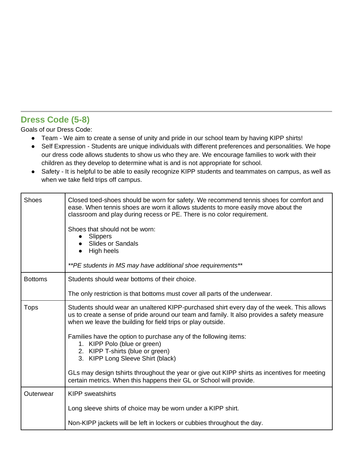## **Dress Code (5-8)**

Goals of our Dress Code:

- Team We aim to create a sense of unity and pride in our school team by having KIPP shirts!
- Self Expression Students are unique individuals with different preferences and personalities. We hope our dress code allows students to show us who they are. We encourage families to work with their children as they develop to determine what is and is not appropriate for school.
- Safety It is helpful to be able to easily recognize KIPP students and teammates on campus, as well as when we take field trips off campus.

| <b>Shoes</b>   | Closed toed-shoes should be worn for safety. We recommend tennis shoes for comfort and<br>ease. When tennis shoes are worn it allows students to more easily move about the<br>classroom and play during recess or PE. There is no color requirement.<br>Shoes that should not be worn:<br>Slippers<br>$\bullet$<br><b>Slides or Sandals</b><br>High heels<br>**PE students in MS may have additional shoe requirements**                                                                                                                                                                                   |
|----------------|-------------------------------------------------------------------------------------------------------------------------------------------------------------------------------------------------------------------------------------------------------------------------------------------------------------------------------------------------------------------------------------------------------------------------------------------------------------------------------------------------------------------------------------------------------------------------------------------------------------|
| <b>Bottoms</b> | Students should wear bottoms of their choice.<br>The only restriction is that bottoms must cover all parts of the underwear.                                                                                                                                                                                                                                                                                                                                                                                                                                                                                |
| <b>Tops</b>    | Students should wear an unaltered KIPP-purchased shirt every day of the week. This allows<br>us to create a sense of pride around our team and family. It also provides a safety measure<br>when we leave the building for field trips or play outside.<br>Families have the option to purchase any of the following items:<br>1. KIPP Polo (blue or green)<br>2. KIPP T-shirts (blue or green)<br>3. KIPP Long Sleeve Shirt (black)<br>GLs may design tshirts throughout the year or give out KIPP shirts as incentives for meeting<br>certain metrics. When this happens their GL or School will provide. |
| Outerwear      | <b>KIPP</b> sweatshirts<br>Long sleeve shirts of choice may be worn under a KIPP shirt.<br>Non-KIPP jackets will be left in lockers or cubbies throughout the day.                                                                                                                                                                                                                                                                                                                                                                                                                                          |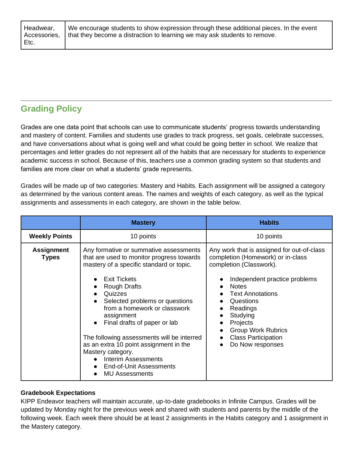We encourage students to show expression through these additional pieces. In the event that they become a distraction to learning we may ask students to remove.

# **Grading Policy**

Grades are one data point that schools can use to communicate students' progress towards understanding and mastery of content. Families and students use grades to track progress, set goals, celebrate successes, and have conversations about what is going well and what could be going better in school. We realize that percentages and letter grades do not represent all of the habits that are necessary for students to experience academic success in school. Because of this, teachers use a common grading system so that students and families are more clear on what a students' grade represents.

Grades will be made up of two categories: Mastery and Habits. Each assignment will be assigned a category as determined by the various content areas. The names and weights of each category, as well as the typical assignments and assessments in each category, are shown in the table below.

|                                   | <b>Mastery</b>                                                                                                                                                                                                                                                                                                                                                                                                                                                                                          | <b>Habits</b>                                                                                                                                                                                                                                                                                                          |
|-----------------------------------|---------------------------------------------------------------------------------------------------------------------------------------------------------------------------------------------------------------------------------------------------------------------------------------------------------------------------------------------------------------------------------------------------------------------------------------------------------------------------------------------------------|------------------------------------------------------------------------------------------------------------------------------------------------------------------------------------------------------------------------------------------------------------------------------------------------------------------------|
| <b>Weekly Points</b>              | 10 points                                                                                                                                                                                                                                                                                                                                                                                                                                                                                               | 10 points                                                                                                                                                                                                                                                                                                              |
| <b>Assignment</b><br><b>Types</b> | Any formative or summative assessments<br>that are used to monitor progress towards<br>mastery of a specific standard or topic.<br><b>Exit Tickets</b><br><b>Rough Drafts</b><br>Quizzes<br>Selected problems or questions<br>from a homework or classwork<br>assignment<br>Final drafts of paper or lab<br>The following assessments will be interred<br>as an extra 10 point assignment in the<br>Mastery category.<br>Interim Assessments<br><b>End-of-Unit Assessments</b><br><b>MU Assessments</b> | Any work that is assigned for out-of-class<br>completion (Homework) or in-class<br>completion (Classwork).<br>Independent practice problems<br><b>Notes</b><br><b>Text Annotations</b><br>Questions<br>Readings<br>Studying<br>Projects<br><b>Group Work Rubrics</b><br><b>Class Participation</b><br>Do Now responses |

#### **Gradebook Expectations**

KIPP Endeavor teachers will maintain accurate, up-to-date gradebooks in Infinite Campus. Grades will be updated by Monday night for the previous week and shared with students and parents by the middle of the following week. Each week there should be at least 2 assignments in the Habits category and 1 assignment in the Mastery category.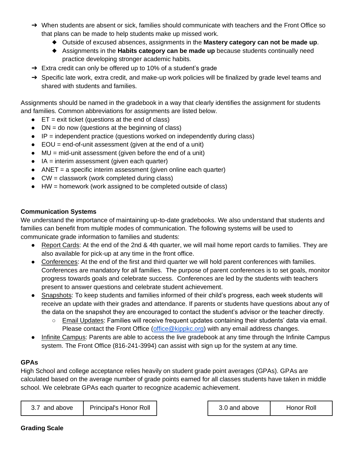- ➔ When students are absent or sick, families should communicate with teachers and the Front Office so that plans can be made to help students make up missed work.
	- ◆ Outside of excused absences, assignments in the **Mastery category can not be made up**.
	- ◆ Assignments in the **Habits category can be made up** because students continually need practice developing stronger academic habits.
- $\rightarrow$  Extra credit can only be offered up to 10% of a student's grade
- → Specific late work, extra credit, and make-up work policies will be finalized by grade level teams and shared with students and families.

Assignments should be named in the gradebook in a way that clearly identifies the assignment for students and families. Common abbreviations for assignments are listed below.

- $\bullet$  ET = exit ticket (questions at the end of class)
- $\bullet$  DN = do now (questions at the beginning of class)
- $\bullet$  IP = independent practice (questions worked on independently during class)
- $\bullet$  EOU = end-of-unit assessment (given at the end of a unit)
- $\bullet$  MU = mid-unit assessment (given before the end of a unit)
- IA = interim assessment (given each quarter)
- ANET = a specific interim assessment (given online each quarter)
- $\bullet$  CW = classwork (work completed during class)
- HW = homework (work assigned to be completed outside of class)

#### **Communication Systems**

We understand the importance of maintaining up-to-date gradebooks. We also understand that students and families can benefit from multiple modes of communication. The following systems will be used to communicate grade information to families and students:

- Report Cards: At the end of the 2nd & 4th quarter, we will mail home report cards to families. They are also available for pick-up at any time in the front office.
- Conferences: At the end of the first and third quarter we will hold parent conferences with families. Conferences are mandatory for all families. The purpose of parent conferences is to set goals, monitor progress towards goals and celebrate success. Conferences are led by the students with teachers present to answer questions and celebrate student achievement.
- Snapshots: To keep students and families informed of their child's progress, each week students will receive an update with their grades and attendance. If parents or students have questions about any of the data on the snapshot they are encouraged to contact the student's advisor or the teacher directly.
	- Email Updates: Families will receive frequent updates containing their students' data via email. Please contact the Front Office [\(office@kippkc.org\)](mailto:office@kippkc.org) with any email address changes.
- Infinite Campus: Parents are able to access the live gradebook at any time through the Infinite Campus system. The Front Office (816-241-3994) can assist with sign up for the system at any time.

#### **GPAs**

High School and college acceptance relies heavily on student grade point averages (GPAs). GPAs are calculated based on the average number of grade points earned for all classes students have taken in middle school. We celebrate GPAs each quarter to recognize academic achievement.

| <b>Principal's Honor Roll</b><br>Honor Roll<br>above<br>above<br>and<br>and |  |  |  |  |  |
|-----------------------------------------------------------------------------|--|--|--|--|--|
|-----------------------------------------------------------------------------|--|--|--|--|--|

#### **Grading Scale**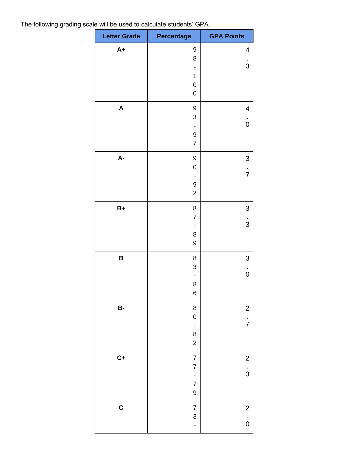The following grading scale will be used to calculate students' GPA.

| <b>Letter Grade</b> | <b>Percentage</b>                             | <b>GPA Points</b>                     |
|---------------------|-----------------------------------------------|---------------------------------------|
| $A+$                | 9<br>8                                        | 4                                     |
|                     |                                               | $\frac{1}{3}$                         |
|                     | $\mathbf 1$<br>$\mathbf 0$                    |                                       |
|                     | $\pmb{0}$                                     |                                       |
| A                   | $\boldsymbol{9}$<br>$\ensuremath{\mathsf{3}}$ | $\overline{\mathcal{A}}$              |
|                     |                                               | $\dot{0}$                             |
|                     | $\boldsymbol{9}$<br>$\overline{7}$            |                                       |
| $A-$                | 9                                             | $\mathsf{3}$                          |
|                     | $\mathbf 0$                                   | $\frac{1}{7}$                         |
|                     | 9<br>$\mathbf 2$                              |                                       |
| $B+$                | 8                                             | 3                                     |
|                     | $\overline{7}$                                | $\frac{1}{3}$                         |
|                     | 8                                             |                                       |
|                     | $\boldsymbol{9}$                              |                                       |
| B                   | 8<br>$\ensuremath{\mathsf{3}}$                | 3                                     |
|                     |                                               | $\dot{0}$                             |
|                     | 8<br>$\overline{6}$                           |                                       |
| $B-$                | 8                                             | $\begin{array}{c} 2 \\ 7 \end{array}$ |
|                     | $\mathbf{0}$                                  |                                       |
|                     | 8<br>$\overline{c}$                           |                                       |
| $C+$                | $\overline{7}$                                |                                       |
|                     | $\overline{7}$<br>$\overline{\phantom{a}}$    | $\begin{array}{c} 2 \\ 3 \end{array}$ |
|                     | $\overline{7}$                                |                                       |
|                     | $\overline{9}$                                |                                       |
| $\mathbf C$         | $\overline{7}$<br>3                           | $\begin{array}{c} 2 \\ 0 \end{array}$ |
|                     | $\overline{a}$                                |                                       |